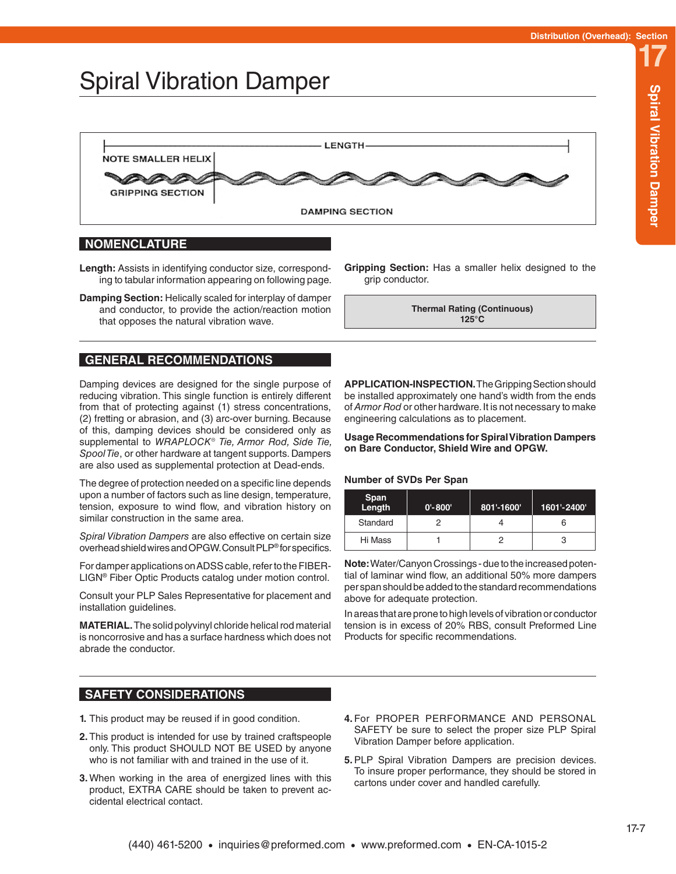# Spiral Vibration Damper



#### **NOMENCLATURE**

**Length:** Assists in identifying conductor size, corresponding to tabular information appearing on following page.

**Damping Section:** Helically scaled for interplay of damper and conductor, to provide the action/reaction motion that opposes the natural vibration wave.

### **GENERAL RECOMMENDATIONS**

Damping devices are designed for the single purpose of reducing vibration. This single function is entirely different from that of protecting against (1) stress concentrations, (2) fretting or abrasion, and (3) arc-over burning. Because of this, damping devices should be considered only as supplemental to *WRAPLOCK® Tie, Armor Rod, Side Tie, Spool Tie*, or other hardware at tangent supports. Dampers are also used as supplemental protection at Dead-ends.

The degree of protection needed on a specific line depends upon a number of factors such as line design, temperature, tension, exposure to wind flow, and vibration history on similar construction in the same area.

*Spiral Vibration Dampers* are also effective on certain size overhead shield wires and OPGW. Consult PLP® for specifics.

For damper applications on ADSS cable, refer to the FIBER-LIGN® Fiber Optic Products catalog under motion control.

Consult your PLP Sales Representative for placement and installation guidelines.

**MATERIAL.** The solid polyvinyl chloride helical rod material is noncorrosive and has a surface hardness which does not abrade the conductor.

### **SAFETY CONSIDERATIONS**

- **1.** This product may be reused if in good condition.
- **2.** This product is intended for use by trained craftspeople only. This product SHOULD NOT BE USED by anyone who is not familiar with and trained in the use of it.
- **3.** When working in the area of energized lines with this product, EXTRA CARE should be taken to prevent accidental electrical contact.

**Gripping Section:** Has a smaller helix designed to the grip conductor.

> **Thermal Rating (Continuous) 125°C**

**APPLICATION-INSPECTION.** The Gripping Section should be installed approximately one hand's width from the ends of *Armor Rod* or other hardware. It is not necessary to make engineering calculations as to placement.

**Usage Recommendations for Spiral Vibration Dampers on Bare Conductor, Shield Wire and OPGW.**

#### **Number of SVDs Per Span**

| Span<br>Length | $0' - 800'$ | 801'-1600' | 1601'-2400' |
|----------------|-------------|------------|-------------|
| Standard       |             |            |             |
| Hi Mass        |             |            |             |

**Note:** Water/Canyon Crossings - due to the increased potential of laminar wind flow, an additional 50% more dampers per span should be added to the standard recommendations above for adequate protection.

In areas that are prone to high levels of vibration or conductor tension is in excess of 20% RBS, consult Preformed Line Products for specific recommendations.

- **4.** For PROPER PERFORMANCE AND PERSONAL SAFETY be sure to select the proper size PLP Spiral Vibration Damper before application.
- **5.**PLP Spiral Vibration Dampers are precision devices. To insure proper performance, they should be stored in cartons under cover and handled carefully.